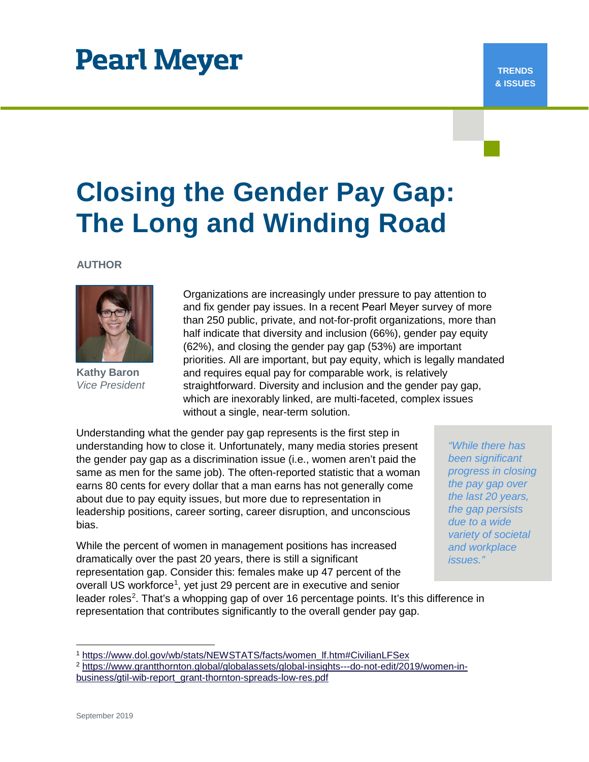# **Pearl Meyer**

#### **TRENDS & ISSUES**

# **Closing the Gender Pay Gap: The Long and Winding Road**

**AUTHOR**



**Kathy Baron** *Vice President*

Organizations are increasingly under pressure to pay attention to and fix gender pay issues. In a recent Pearl Meyer survey of more than 250 public, private, and not-for-profit organizations, more than half indicate that diversity and inclusion (66%), gender pay equity (62%), and closing the gender pay gap (53%) are important priorities. All are important, but pay equity, which is legally mandated and requires equal pay for comparable work, is relatively straightforward. Diversity and inclusion and the gender pay gap, which are inexorably linked, are multi-faceted, complex issues without a single, near-term solution.

Understanding what the gender pay gap represents is the first step in understanding how to close it. Unfortunately, many media stories present the gender pay gap as a discrimination issue (i.e., women aren't paid the same as men for the same job). The often-reported statistic that a woman earns 80 cents for every dollar that a man earns has not generally come about due to pay equity issues, but more due to representation in leadership positions, career sorting, career disruption, and unconscious bias.

While the percent of women in management positions has increased dramatically over the past 20 years, there is still a significant representation gap. Consider this: females make up 47 percent of the overall US workforce<sup>[1](#page-0-0)</sup>, yet just 29 percent are in executive and senior

*"While there has been significant progress in closing the pay gap over the last 20 years, the gap persists due to a wide variety of societal and workplace issues."*

leader roles<sup>[2](#page-0-1)</sup>. That's a whopping gap of over 16 percentage points. It's this difference in representation that contributes significantly to the overall gender pay gap.

[https://www.dol.gov/wb/stats/NEWSTATS/facts/women\\_lf.htm#CivilianLFSex](https://www.dol.gov/wb/stats/NEWSTATS/facts/women_lf.htm#CivilianLFSex)

<span id="page-0-1"></span><span id="page-0-0"></span><sup>2</sup> [https://www.grantthornton.global/globalassets/global-insights---do-not-edit/2019/women-in-](https://www.grantthornton.global/globalassets/global-insights---do-not-edit/2019/women-in-business/gtil-wib-report_grant-thornton-spreads-low-res.pdf)

[business/gtil-wib-report\\_grant-thornton-spreads-low-res.pdf](https://www.grantthornton.global/globalassets/global-insights---do-not-edit/2019/women-in-business/gtil-wib-report_grant-thornton-spreads-low-res.pdf)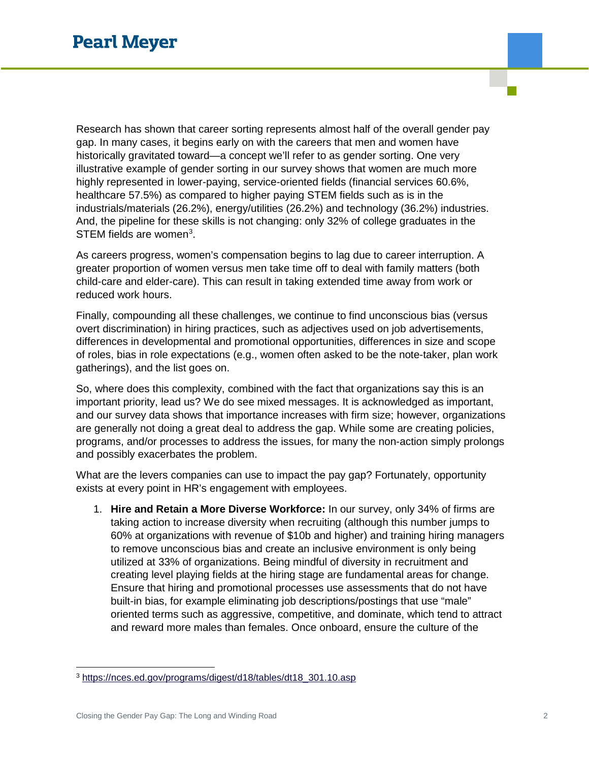Research has shown that career sorting represents almost half of the overall gender pay gap. In many cases, it begins early on with the careers that men and women have historically gravitated toward—a concept we'll refer to as gender sorting. One very illustrative example of gender sorting in our survey shows that women are much more highly represented in lower-paying, service-oriented fields (financial services 60.6%, healthcare 57.5%) as compared to higher paying STEM fields such as is in the industrials/materials (26.2%), energy/utilities (26.2%) and technology (36.2%) industries. And, the pipeline for these skills is not changing: only 32% of college graduates in the STEM fields are women<sup>3</sup>.

As careers progress, women's compensation begins to lag due to career interruption. A greater proportion of women versus men take time off to deal with family matters (both child-care and elder-care). This can result in taking extended time away from work or reduced work hours.

Finally, compounding all these challenges, we continue to find unconscious bias (versus overt discrimination) in hiring practices, such as adjectives used on job advertisements, differences in developmental and promotional opportunities, differences in size and scope of roles, bias in role expectations (e.g., women often asked to be the note-taker, plan work gatherings), and the list goes on.

So, where does this complexity, combined with the fact that organizations say this is an important priority, lead us? We do see mixed messages. It is acknowledged as important, and our survey data shows that importance increases with firm size; however, organizations are generally not doing a great deal to address the gap. While some are creating policies, programs, and/or processes to address the issues, for many the non-action simply prolongs and possibly exacerbates the problem.

What are the levers companies can use to impact the pay gap? Fortunately, opportunity exists at every point in HR's engagement with employees.

1. **Hire and Retain a More Diverse Workforce:** In our survey, only 34% of firms are taking action to increase diversity when recruiting (although this number jumps to 60% at organizations with revenue of \$10b and higher) and training hiring managers to remove unconscious bias and create an inclusive environment is only being utilized at 33% of organizations. Being mindful of diversity in recruitment and creating level playing fields at the hiring stage are fundamental areas for change. Ensure that hiring and promotional processes use assessments that do not have built-in bias, for example eliminating job descriptions/postings that use "male" oriented terms such as aggressive, competitive, and dominate, which tend to attract and reward more males than females. Once onboard, ensure the culture of the

<span id="page-1-0"></span> <sup>3</sup> [https://nces.ed.gov/programs/digest/d18/tables/dt18\\_301.10.asp](https://nces.ed.gov/programs/digest/d18/tables/dt18_301.10.asp)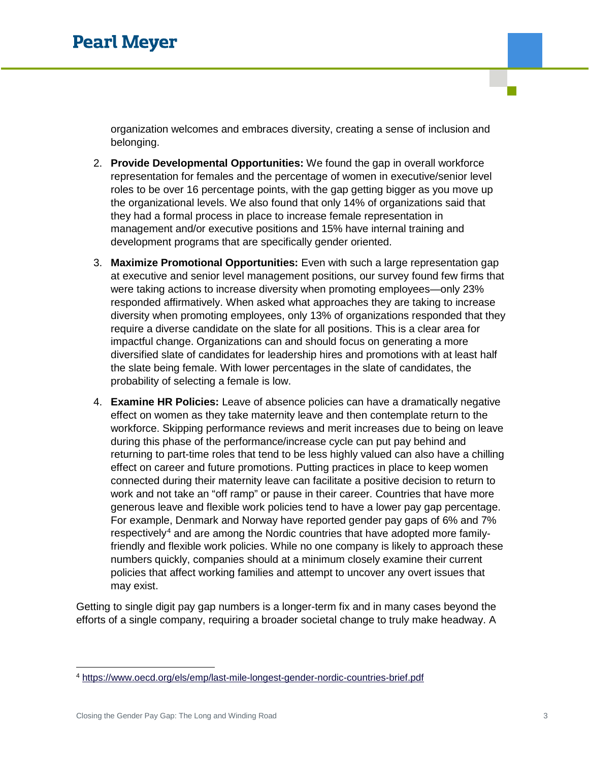organization welcomes and embraces diversity, creating a sense of inclusion and belonging.

- 2. **Provide Developmental Opportunities:** We found the gap in overall workforce representation for females and the percentage of women in executive/senior level roles to be over 16 percentage points, with the gap getting bigger as you move up the organizational levels. We also found that only 14% of organizations said that they had a formal process in place to increase female representation in management and/or executive positions and 15% have internal training and development programs that are specifically gender oriented.
- 3. **Maximize Promotional Opportunities:** Even with such a large representation gap at executive and senior level management positions, our survey found few firms that were taking actions to increase diversity when promoting employees—only 23% responded affirmatively. When asked what approaches they are taking to increase diversity when promoting employees, only 13% of organizations responded that they require a diverse candidate on the slate for all positions. This is a clear area for impactful change. Organizations can and should focus on generating a more diversified slate of candidates for leadership hires and promotions with at least half the slate being female. With lower percentages in the slate of candidates, the probability of selecting a female is low.
- 4. **Examine HR Policies:** Leave of absence policies can have a dramatically negative effect on women as they take maternity leave and then contemplate return to the workforce. Skipping performance reviews and merit increases due to being on leave during this phase of the performance/increase cycle can put pay behind and returning to part-time roles that tend to be less highly valued can also have a chilling effect on career and future promotions. Putting practices in place to keep women connected during their maternity leave can facilitate a positive decision to return to work and not take an "off ramp" or pause in their career. Countries that have more generous leave and flexible work policies tend to have a lower pay gap percentage. For example, Denmark and Norway have reported gender pay gaps of 6% and 7% respectively[4](#page-2-0) and are among the Nordic countries that have adopted more familyfriendly and flexible work policies. While no one company is likely to approach these numbers quickly, companies should at a minimum closely examine their current policies that affect working families and attempt to uncover any overt issues that may exist.

Getting to single digit pay gap numbers is a longer-term fix and in many cases beyond the efforts of a single company, requiring a broader societal change to truly make headway. A

<span id="page-2-0"></span> <sup>4</sup> <https://www.oecd.org/els/emp/last-mile-longest-gender-nordic-countries-brief.pdf>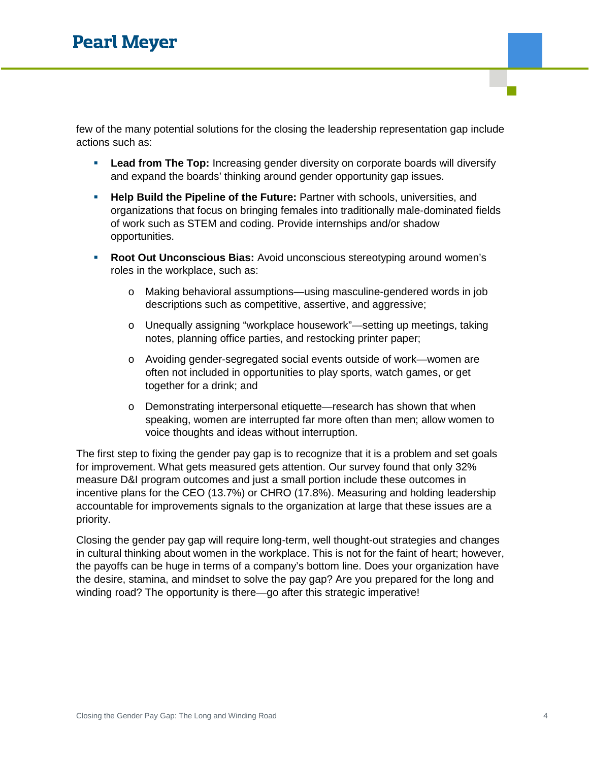few of the many potential solutions for the closing the leadership representation gap include actions such as:

- **Lead from The Top:** Increasing gender diversity on corporate boards will diversify and expand the boards' thinking around gender opportunity gap issues.
- **Help Build the Pipeline of the Future:** Partner with schools, universities, and organizations that focus on bringing females into traditionally male-dominated fields of work such as STEM and coding. Provide internships and/or shadow opportunities.
- **Root Out Unconscious Bias:** Avoid unconscious stereotyping around women's roles in the workplace, such as:
	- o Making behavioral assumptions—using masculine-gendered words in job descriptions such as competitive, assertive, and aggressive;
	- o Unequally assigning "workplace housework"—setting up meetings, taking notes, planning office parties, and restocking printer paper;
	- o Avoiding gender-segregated social events outside of work—women are often not included in opportunities to play sports, watch games, or get together for a drink; and
	- o Demonstrating interpersonal etiquette—research has shown that when speaking, women are interrupted far more often than men; allow women to voice thoughts and ideas without interruption.

The first step to fixing the gender pay gap is to recognize that it is a problem and set goals for improvement. What gets measured gets attention. Our survey found that only 32% measure D&I program outcomes and just a small portion include these outcomes in incentive plans for the CEO (13.7%) or CHRO (17.8%). Measuring and holding leadership accountable for improvements signals to the organization at large that these issues are a priority.

Closing the gender pay gap will require long-term, well thought-out strategies and changes in cultural thinking about women in the workplace. This is not for the faint of heart; however, the payoffs can be huge in terms of a company's bottom line. Does your organization have the desire, stamina, and mindset to solve the pay gap? Are you prepared for the long and winding road? The opportunity is there—go after this strategic imperative!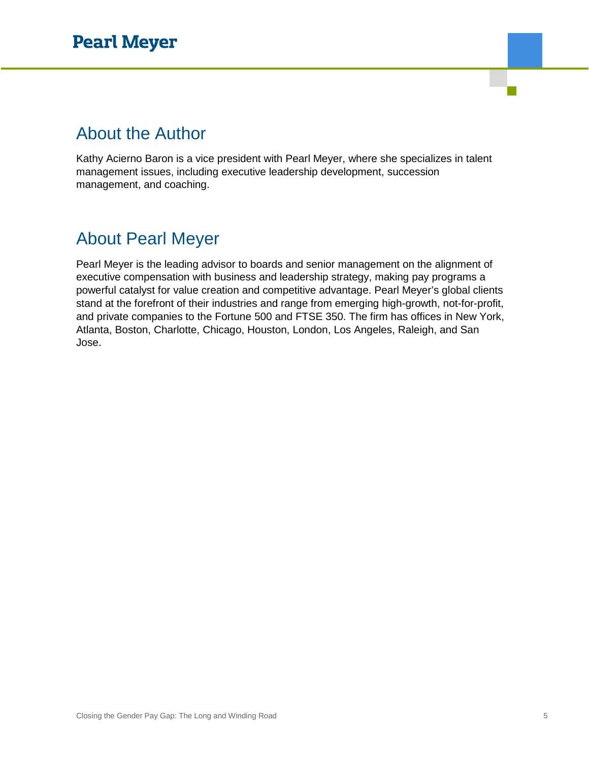### About the Author

Kathy Acierno Baron is a vice president with Pearl Meyer, where she specializes in talent management issues, including executive leadership development, succession management, and coaching.

### About Pearl Meyer

Pearl Meyer is the leading advisor to boards and senior management on the alignment of executive compensation with business and leadership strategy, making pay programs a powerful catalyst for value creation and competitive advantage. Pearl Meyer's global clients stand at the forefront of their industries and range from emerging high-growth, not-for-profit, and private companies to the Fortune 500 and FTSE 350. The firm has offices in New York, Atlanta, Boston, Charlotte, Chicago, Houston, London, Los Angeles, Raleigh, and San Jose.